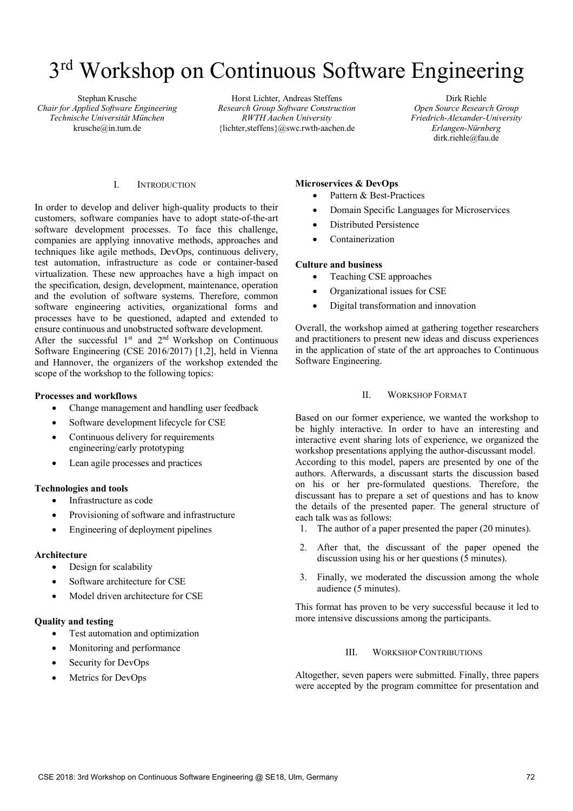# 3<sup>rd</sup> Workshop on Continuous Software Engineering

Stephan Krusche *Chair for Applied Software Engineering Technische Universität München*  krusche@in.tum.de

Horst Lichter, Andreas Steffens *Research Group Software Construction RWTH Aachen University*  {lichter,steffens}@swc.rwth-aachen.de

Dirk Riehle *Open Source Research Group Friedrich-Alexander-University Erlangen-Nürnberg* dirk.riehle@fau.de

## I. INTRODUCTION

In order to develop and deliver high-quality products to their customers, software companies have to adopt state-of-the-art software development processes. To face this challenge, companies are applying innovative methods, approaches and techniques like agile methods, DevOps, continuous delivery, test automation, infrastructure as code or container-based virtualization. These new approaches have a high impact on the specification, design, development, maintenance, operation and the evolution of software systems. Therefore, common software engineering activities, organizational forms and processes have to be questioned, adapted and extended to ensure continuous and unobstructed software development.

After the successful 1<sup>st</sup> and 2<sup>nd</sup> Workshop on Continuous Software Engineering (CSE 2016/2017) [1,2], held in Vienna and Hannover, the organizers of the workshop extended the scope of the workshop to the following topics:

#### **Processes and workflows**

- Change management and handling user feedback
- Software development lifecycle for CSE
- Continuous delivery for requirements engineering/early prototyping
- Lean agile processes and practices

# **Technologies and tools**

- Infrastructure as code
- Provisioning of software and infrastructure
- Engineering of deployment pipelines

#### **Architecture**

- Design for scalability
- Software architecture for CSE
- Model driven architecture for CSE

#### **Quality and testing**

- Test automation and optimization
- Monitoring and performance
- Security for DevOps
- Metrics for DevOps

#### **Microservices & DevOps**

- Pattern & Best-Practices
- Domain Specific Languages for Microservices
- Distributed Persistence
- Containerization

#### **Culture and business**

- Teaching CSE approaches
- Organizational issues for CSE
- Digital transformation and innovation

Overall, the workshop aimed at gathering together researchers and practitioners to present new ideas and discuss experiences in the application of state of the art approaches to Continuous Software Engineering.

## II. WORKSHOP FORMAT

Based on our former experience, we wanted the workshop to be highly interactive. In order to have an interesting and interactive event sharing lots of experience, we organized the workshop presentations applying the author-discussant model. According to this model, papers are presented by one of the authors. Afterwards, a discussant starts the discussion based on his or her pre-formulated questions. Therefore, the discussant has to prepare a set of questions and has to know the details of the presented paper. The general structure of each talk was as follows:

- 1. The author of a paper presented the paper (20 minutes).
- 2. After that, the discussant of the paper opened the discussion using his or her questions (5 minutes).
- 3. Finally, we moderated the discussion among the whole audience (5 minutes).

This format has proven to be very successful because it led to more intensive discussions among the participants.

## III. WORKSHOP CONTRIBUTIONS

Altogether, seven papers were submitted. Finally, three papers were accepted by the program committee for presentation and